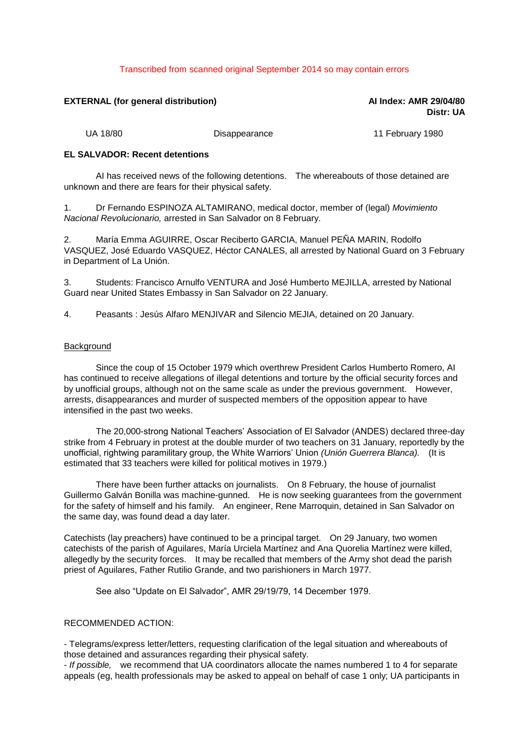## Transcribed from scanned original September 2014 so may contain errors

# **EXTERNAL (for general distribution) AI Index: AMR 29/04/80**

**Distr: UA**

UA 18/80 **Disappearance** 11 February 1980

#### **EL SALVADOR: Recent detentions**

AI has received news of the following detentions. The whereabouts of those detained are unknown and there are fears for their physical safety.

1. Dr Fernando ESPINOZA ALTAMIRANO, medical doctor, member of (legal) *Movimiento Nacional Revolucionario,* arrested in San Salvador on 8 February.

2. María Emma AGUIRRE, Oscar Reciberto GARCIA, Manuel PEÑA MARIN, Rodolfo VASQUEZ, José Eduardo VASQUEZ, Héctor CANALES, all arrested by National Guard on 3 February in Department of La Unión.

3. Students: Francisco Arnulfo VENTURA and José Humberto MEJILLA, arrested by National Guard near United States Embassy in San Salvador on 22 January.

4. Peasants : Jesús Alfaro MENJIVAR and Silencio MEJIA, detained on 20 January.

#### Background

Since the coup of 15 October 1979 which overthrew President Carlos Humberto Romero, AI has continued to receive allegations of illegal detentions and torture by the official security forces and by unofficial groups, although not on the same scale as under the previous government. However, arrests, disappearances and murder of suspected members of the opposition appear to have intensified in the past two weeks.

The 20,000-strong National Teachers' Association of El Salvador (ANDES) declared three-day strike from 4 February in protest at the double murder of two teachers on 31 January, reportedly by the unofficial, rightwing paramilitary group, the White Warriors' Union *(Unión Guerrera Blanca).* (It is estimated that 33 teachers were killed for political motives in 1979.)

There have been further attacks on journalists. On 8 February, the house of journalist Guillermo Galván Bonilla was machine-gunned. He is now seeking guarantees from the government for the safety of himself and his family. An engineer, Rene Marroquin, detained in San Salvador on the same day, was found dead a day later.

Catechists (lay preachers) have continued to be a principal target. On 29 January, two women catechists of the parish of Aguilares, María Urciela Martínez and Ana Quorelia Martínez were killed, allegedly by the security forces. It may be recalled that members of the Army shot dead the parish priest of Aguilares, Father Rutilio Grande, and two parishioners in March 1977.

See also "Update on El Salvador", AMR 29/19/79, 14 December 1979.

## RECOMMENDED ACTION:

- Telegrams/express letter/letters, requesting clarification of the legal situation and whereabouts of those detained and assurances regarding their physical safety.

- *If possible,* we recommend that UA coordinators allocate the names numbered 1 to 4 for separate appeals (eg, health professionals may be asked to appeal on behalf of case 1 only; UA participants in